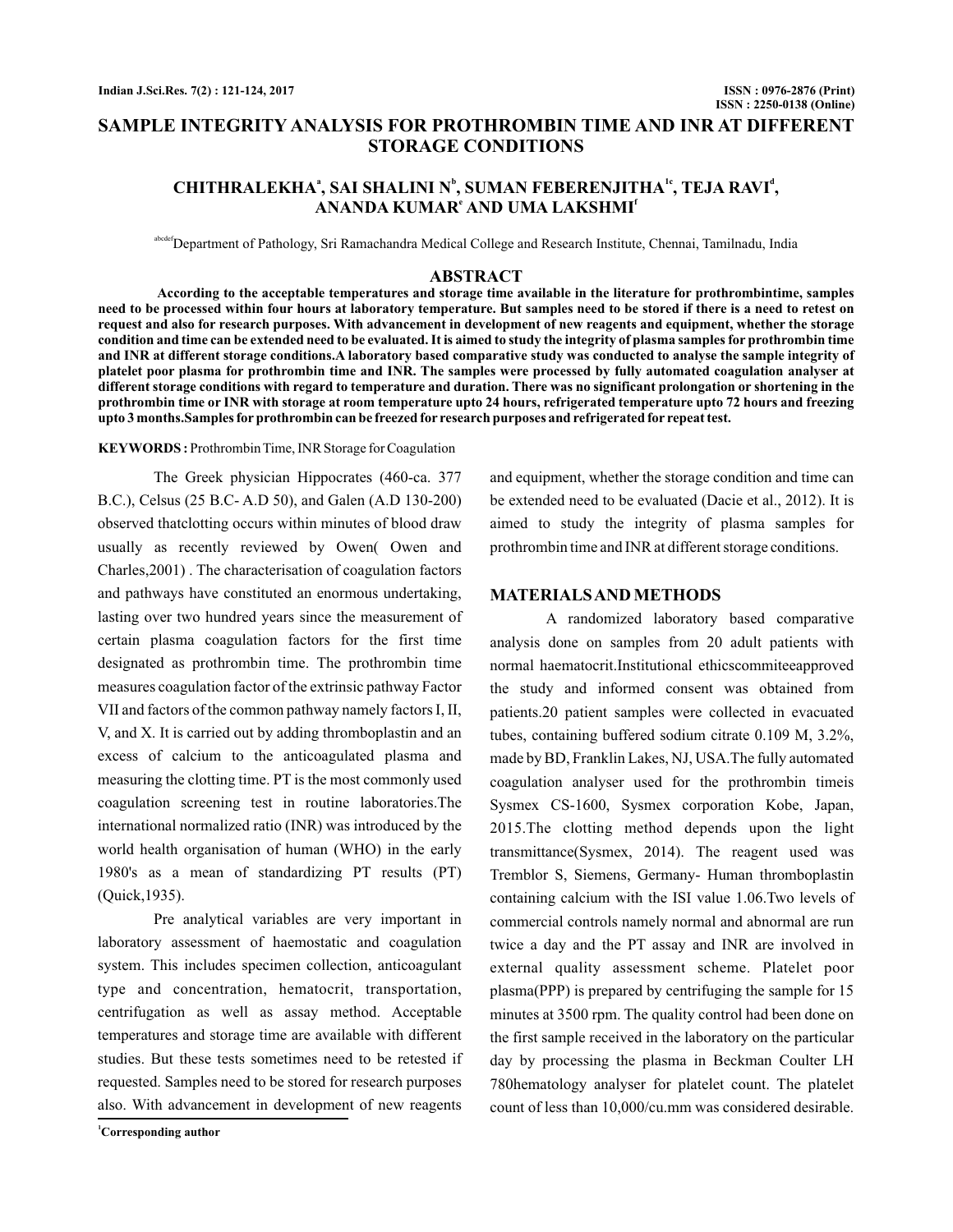# **SAMPLE INTEGRITY ANALYSIS FOR PROTHROMBIN TIME AND INR AT DIFFERENT STORAGE CONDITIONS**

# CHITHRALEKHAª, SAI SHALINI N<sup>b</sup>, SUMAN FEBERENJITHA<sup>ie</sup>, TEJA RAVI<sup>a</sup>,  $\mathbf{ANANDA}\mathbf{KUMAR}^{\mathbf{\epsilon}}$  and  $\mathbf{UMA}\mathbf{LAKSHMI}^{\mathbf{\epsilon}}$

<sup>ef</sup>Department of Pathology, Sri Ramachandra Medical College and Research Institute, Chennai, Tamilnadu, India

### **ABSTRACT**

**According to the acceptable temperatures and storage time available in the literature for prothrombintime, samples need to be processed within four hours at laboratory temperature. But samples need to be stored if there is a need to retest on request and also for research purposes. With advancement in development of new reagents and equipment, whether the storage condition and time can be extended need to be evaluated. It is aimed to study the integrity of plasma samples for prothrombin time and INR at different storage conditions.A laboratory based comparative study was conducted to analyse the sample integrity of platelet poor plasma for prothrombin time and INR. The samples were processed by fully automated coagulation analyser at different storage conditions with regard to temperature and duration. There was no significant prolongation or shortening in the prothrombin time or INR with storage at room temperature upto 24 hours, refrigerated temperature upto 72 hours and freezing upto 3 months.Samples for prothrombin can be freezed for research purposes and refrigerated for repeat test.**

KEYWORDS: Prothrombin Time, INR Storage for Coagulation

The Greek physician Hippocrates (460-ca. 377 B.C.), Celsus (25 B.C- A.D 50), and Galen (A.D 130-200) observed thatclotting occurs within minutes of blood draw usually as recently reviewed by Owen( Owen and Charles,2001) . The characterisation of coagulation factors and pathways have constituted an enormous undertaking, lasting over two hundred years since the measurement of certain plasma coagulation factors for the first time designated as prothrombin time. The prothrombin time measures coagulation factor of the extrinsic pathway Factor VII and factors of the common pathway namely factors I, II, V, and X. It is carried out by adding thromboplastin and an excess of calcium to the anticoagulated plasma and measuring the clotting time. PT is the most commonly used coagulation screening test in routine laboratories.The international normalized ratio (INR) was introduced by the world health organisation of human (WHO) in the early 1980's as a mean of standardizing PT results (PT) (Quick,1935).

Pre analytical variables are very important in laboratory assessment of haemostatic and coagulation system. This includes specimen collection, anticoagulant type and concentration, hematocrit, transportation, centrifugation as well as assay method. Acceptable temperatures and storage time are available with different studies. But these tests sometimes need to be retested if requested. Samples need to be stored for research purposes also. With advancement in development of new reagents

and equipment, whether the storage condition and time can be extended need to be evaluated (Dacie et al., 2012). It is aimed to study the integrity of plasma samples for prothrombin time and INR at different storage conditions.

#### **MATERIALSANDMETHODS**

A randomized laboratory based comparative analysis done on samples from 20 adult patients with normal haematocrit.Institutional ethicscommiteeapproved the study and informed consent was obtained from patients.20 patient samples were collected in evacuated tubes, containing buffered sodium citrate 0.109 M, 3.2%, made by BD, Franklin Lakes, NJ, USA.The fully automated coagulation analyser used for the prothrombin timeis Sysmex CS-1600, Sysmex corporation Kobe, Japan, 2015.The clotting method depends upon the light transmittance(Sysmex, 2014). The reagent used was Tremblor S, Siemens, Germany- Human thromboplastin containing calcium with the ISI value 1.06.Two levels of commercial controls namely normal and abnormal are run twice a day and the PT assay and INR are involved in external quality assessment scheme. Platelet poor plasma(PPP) is prepared by centrifuging the sample for 15 minutes at 3500 rpm. The quality control had been done on the first sample received in the laboratory on the particular day by processing the plasma in Beckman Coulter LH 780hematology analyser for platelet count. The platelet count of less than 10,000/cu.mm was considered desirable.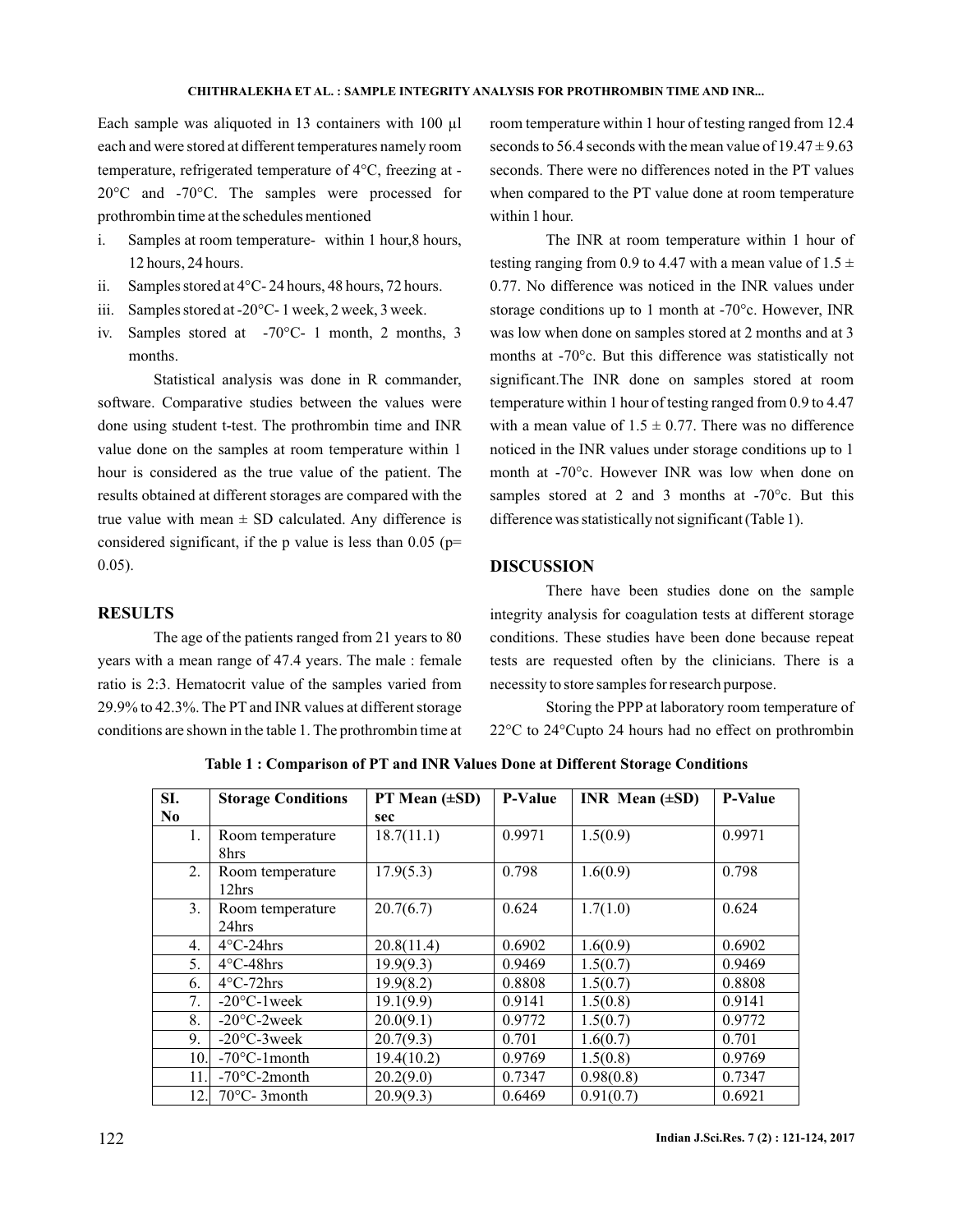#### **CHITHRALEKHA ET AL. : SAMPLE INTEGRITY ANALYSIS FOR PROTHROMBIN TIME AND INR...**

Each sample was aliquoted in 13 containers with 100 µl each and were stored at different temperatures namely room temperature, refrigerated temperature of 4°C, freezing at - 20°C and -70°C. The samples were processed for prothrombin time at the schedules mentioned

- i. Samples at room temperature- within 1 hour,8 hours, 12 hours, 24 hours.
- ii. Samples stored at 4°C- 24 hours, 48 hours, 72 hours.
- iii. Samples stored at -20°C- 1 week, 2 week, 3 week.
- iv. Samples stored at -70°C- 1 month, 2 months, 3 months.

Statistical analysis was done in R commander, software. Comparative studies between the values were done using student t-test. The prothrombin time and INR value done on the samples at room temperature within 1 hour is considered as the true value of the patient. The results obtained at different storages are compared with the true value with mean  $\pm$  SD calculated. Any difference is considered significant, if the p value is less than  $0.05$  (p= 0.05).

### **RESULTS**

The age of the patients ranged from 21 years to 80 years with a mean range of 47.4 years. The male : female ratio is 2:3. Hematocrit value of the samples varied from 29.9% to 42.3%. The PT and INR values at different storage conditions are shown in the table 1. The prothrombin time at room temperature within 1 hour of testing ranged from 12.4 seconds to 56.4 seconds with the mean value of  $19.47 \pm 9.63$ seconds. There were no differences noted in the PT values when compared to the PT value done at room temperature within 1 hour.

The INR at room temperature within 1 hour of testing ranging from 0.9 to 4.47 with a mean value of  $1.5 \pm$ 0.77. No difference was noticed in the INR values under storage conditions up to 1 month at -70°c. However, INR was low when done on samples stored at 2 months and at 3 months at -70°c. But this difference was statistically not significant.The INR done on samples stored at room temperature within 1 hour of testing ranged from 0.9 to 4.47 with a mean value of  $1.5 \pm 0.77$ . There was no difference noticed in the INR values under storage conditions up to 1 month at -70°c. However INR was low when done on samples stored at 2 and 3 months at -70°c. But this difference was statistically not significant (Table 1).

## **DISCUSSION**

There have been studies done on the sample integrity analysis for coagulation tests at different storage conditions. These studies have been done because repeat tests are requested often by the clinicians. There is a necessity to store samples for research purpose.

Storing the PPP at laboratory room temperature of 22°C to 24°Cupto 24 hours had no effect on prothrombin

| SI.              | <b>Storage Conditions</b> | PT Mean (±SD) | <b>P-Value</b> | INR Mean $(\pm SD)$ | <b>P-Value</b> |
|------------------|---------------------------|---------------|----------------|---------------------|----------------|
| $\bf No$         |                           | sec           |                |                     |                |
| 1.               | Room temperature<br>8hrs  | 18.7(11.1)    | 0.9971         | 1.5(0.9)            | 0.9971         |
| 2.               | Room temperature<br>12hrs | 17.9(5.3)     | 0.798          | 1.6(0.9)            | 0.798          |
| $\mathbf{3}$ .   | Room temperature<br>24hrs | 20.7(6.7)     | 0.624          | 1.7(1.0)            | 0.624          |
| $\overline{4}$ . | $4^{\circ}$ C-24hrs       | 20.8(11.4)    | 0.6902         | 1.6(0.9)            | 0.6902         |
| 5.               | $4^{\circ}$ C-48hrs       | 19.9(9.3)     | 0.9469         | 1.5(0.7)            | 0.9469         |
| 6.               | $4^{\circ}$ C-72hrs       | 19.9(8.2)     | 0.8808         | 1.5(0.7)            | 0.8808         |
| 7.               | $-20^{\circ}$ C $-1$ week | 19.1(9.9)     | 0.9141         | 1.5(0.8)            | 0.9141         |
| 8.               | $-20^{\circ}$ C-2week     | 20.0(9.1)     | 0.9772         | 1.5(0.7)            | 0.9772         |
| 9.               | $-20^{\circ}$ C $-3$ week | 20.7(9.3)     | 0.701          | 1.6(0.7)            | 0.701          |
| 10.              | $-70^{\circ}$ C-1 month   | 19.4(10.2)    | 0.9769         | 1.5(0.8)            | 0.9769         |
| 11               | $-70^{\circ}$ C-2month    | 20.2(9.0)     | 0.7347         | 0.98(0.8)           | 0.7347         |
| 12.              | $70^{\circ}$ C- 3 month   | 20.9(9.3)     | 0.6469         | 0.91(0.7)           | 0.6921         |

**Table 1 : Comparison of PT and INR Values Done at Different Storage Conditions**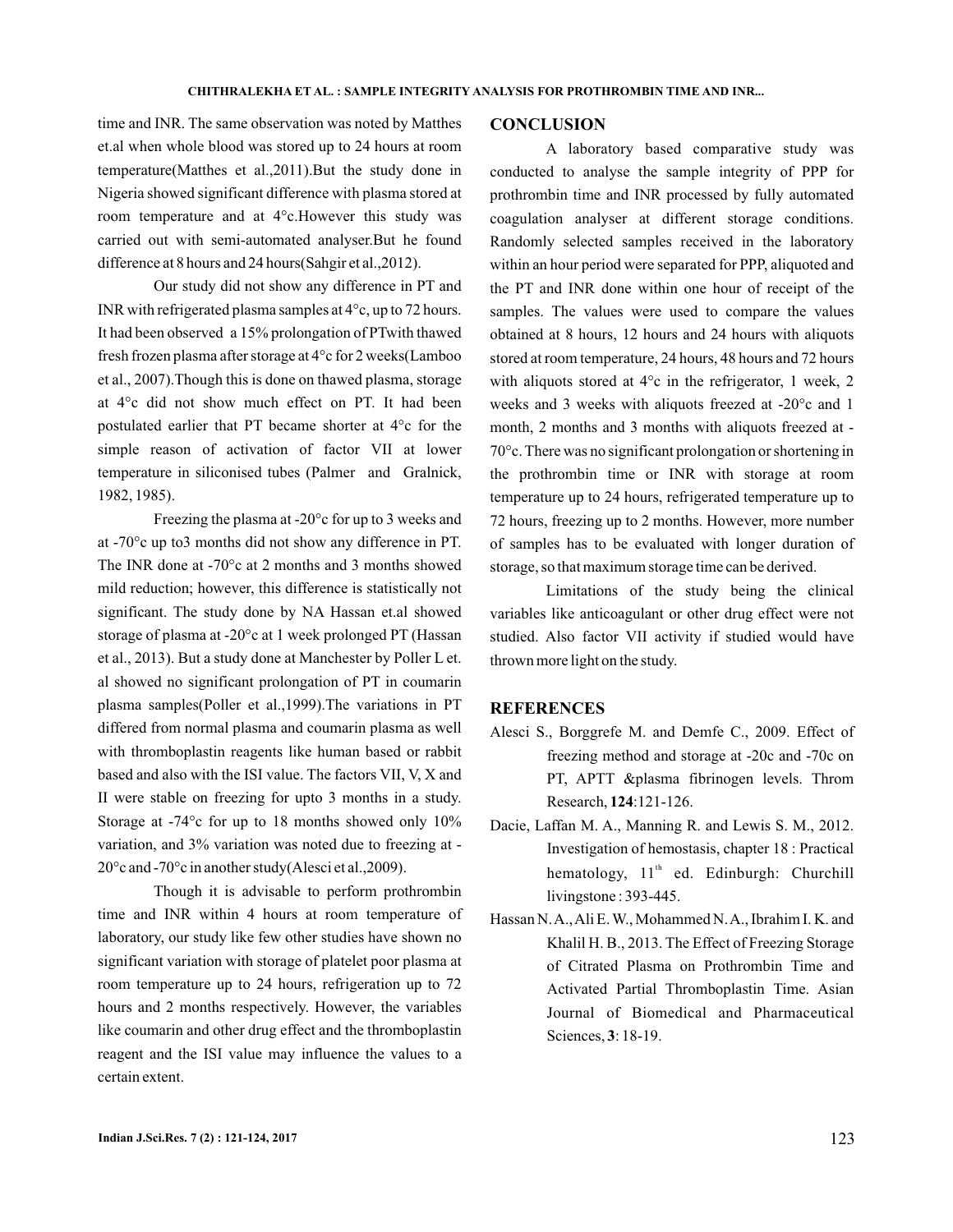time and INR. The same observation was noted by Matthes et.al when whole blood was stored up to 24 hours at room temperature(Matthes et al.,2011).But the study done in Nigeria showed significant difference with plasma stored at room temperature and at 4°c.However this study was carried out with semi-automated analyser.But he found difference at 8 hours and 24 hours(Sahgir et al.,2012).

Our study did not show any difference in PT and INR with refrigerated plasma samples at 4°c, up to 72 hours. It had been observed a 15% prolongation of PTwith thawed fresh frozen plasma after storage at 4°c for 2 weeks(Lamboo et al., 2007).Though this is done on thawed plasma, storage at 4°c did not show much effect on PT. It had been postulated earlier that PT became shorter at 4°c for the simple reason of activation of factor VII at lower temperature in siliconised tubes (Palmer and Gralnick, 1982, 1985).

Freezing the plasma at -20°c for up to 3 weeks and at -70°c up to3 months did not show any difference in PT. The INR done at -70°c at 2 months and 3 months showed mild reduction; however, this difference is statistically not significant. The study done by NA Hassan et.al showed storage of plasma at -20°c at 1 week prolonged PT (Hassan et al., 2013). But a study done at Manchester by Poller L et. al showed no significant prolongation of PT in coumarin plasma samples(Poller et al.,1999).The variations in PT differed from normal plasma and coumarin plasma as well with thromboplastin reagents like human based or rabbit based and also with the ISI value. The factors VII, V, X and II were stable on freezing for upto 3 months in a study. Storage at -74°c for up to 18 months showed only 10% variation, and 3% variation was noted due to freezing at - 20°c and -70°c in another study(Alesci et al.,2009).

Though it is advisable to perform prothrombin time and INR within 4 hours at room temperature of laboratory, our study like few other studies have shown no significant variation with storage of platelet poor plasma at room temperature up to 24 hours, refrigeration up to 72 hours and 2 months respectively. However, the variables like coumarin and other drug effect and the thromboplastin reagent and the ISI value may influence the values to a certain extent.

#### **CONCLUSION**

A laboratory based comparative study was conducted to analyse the sample integrity of PPP for prothrombin time and INR processed by fully automated coagulation analyser at different storage conditions. Randomly selected samples received in the laboratory within an hour period were separated for PPP, aliquoted and the PT and INR done within one hour of receipt of the samples. The values were used to compare the values obtained at 8 hours, 12 hours and 24 hours with aliquots stored at room temperature, 24 hours, 48 hours and 72 hours with aliquots stored at 4<sup>o</sup>c in the refrigerator, 1 week, 2 weeks and 3 weeks with aliquots freezed at -20°c and 1 month, 2 months and 3 months with aliquots freezed at - 70°c. There was no significant prolongation or shortening in the prothrombin time or INR with storage at room temperature up to 24 hours, refrigerated temperature up to 72 hours, freezing up to 2 months. However, more number of samples has to be evaluated with longer duration of storage, so that maximum storage time can be derived.

Limitations of the study being the clinical variables like anticoagulant or other drug effect were not studied. Also factor VII activity if studied would have thrown more light on the study.

### **REFERENCES**

- Alesci S., Borggrefe M. and Demfe C., 2009. Effect of freezing method and storage at -20c and -70c on PT, APTT &plasma fibrinogen levels. Throm Research, 124:121-126.
- Dacie, Laffan M. A., Manning R. and Lewis S. M., 2012. Investigation of hemostasis, chapter 18 : Practical hematology, 11<sup>th</sup> ed. Edinburgh: Churchill livingstone : 393-445.
- Hassan N.A.,Ali E.W., Mohammed N.A., Ibrahim I. K. and Khalil H. B., 2013. The Effect of Freezing Storage of Citrated Plasma on Prothrombin Time and Activated Partial Thromboplastin Time. Asian Journal of Biomedical and Pharmaceutical Sciences, 3:18-19.